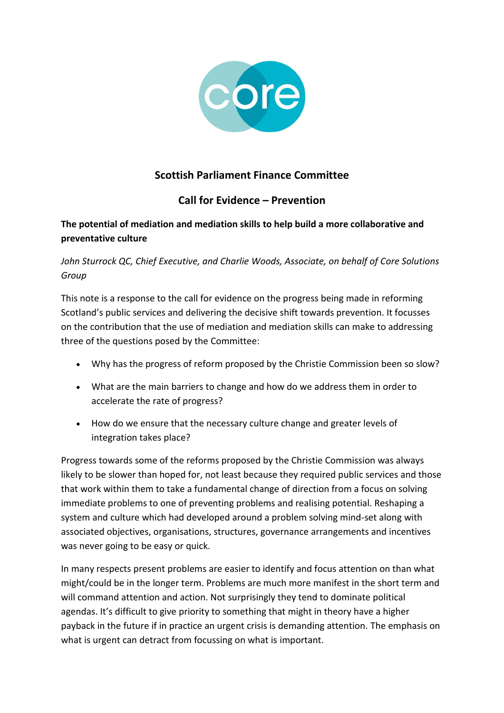

## **Scottish Parliament Finance Committee**

## **Call for Evidence – Prevention**

## **The potential of mediation and mediation skills to help build a more collaborative and preventative culture**

## *John Sturrock QC, Chief Executive, and Charlie Woods, Associate, on behalf of Core Solutions Group*

This note is a response to the call for evidence on the progress being made in reforming Scotland's public services and delivering the decisive shift towards prevention. It focusses on the contribution that the use of mediation and mediation skills can make to addressing three of the questions posed by the Committee:

- Why has the progress of reform proposed by the Christie Commission been so slow?
- What are the main barriers to change and how do we address them in order to accelerate the rate of progress?
- How do we ensure that the necessary culture change and greater levels of integration takes place?

Progress towards some of the reforms proposed by the Christie Commission was always likely to be slower than hoped for, not least because they required public services and those that work within them to take a fundamental change of direction from a focus on solving immediate problems to one of preventing problems and realising potential. Reshaping a system and culture which had developed around a problem solving mind-set along with associated objectives, organisations, structures, governance arrangements and incentives was never going to be easy or quick.

In many respects present problems are easier to identify and focus attention on than what might/could be in the longer term. Problems are much more manifest in the short term and will command attention and action. Not surprisingly they tend to dominate political agendas. It's difficult to give priority to something that might in theory have a higher payback in the future if in practice an urgent crisis is demanding attention. The emphasis on what is urgent can detract from focussing on what is important.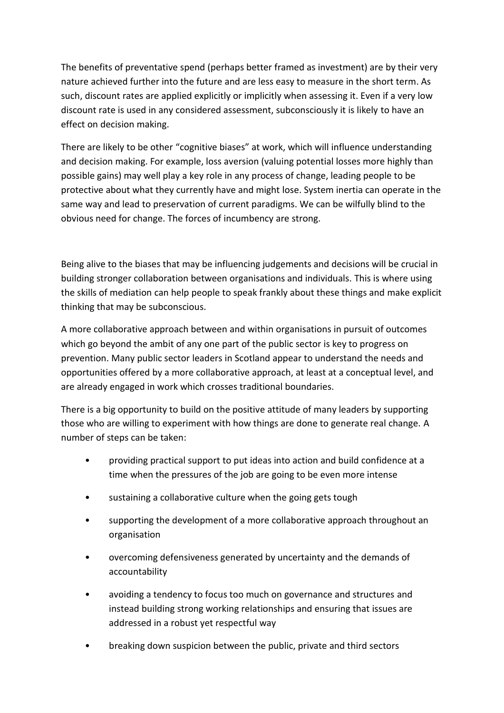The benefits of preventative spend (perhaps better framed as investment) are by their very nature achieved further into the future and are less easy to measure in the short term. As such, discount rates are applied explicitly or implicitly when assessing it. Even if a very low discount rate is used in any considered assessment, subconsciously it is likely to have an effect on decision making.

There are likely to be other "cognitive biases" at work, which will influence understanding and decision making. For example, loss aversion (valuing potential losses more highly than possible gains) may well play a key role in any process of change, leading people to be protective about what they currently have and might lose. System inertia can operate in the same way and lead to preservation of current paradigms. We can be wilfully blind to the obvious need for change. The forces of incumbency are strong.

Being alive to the biases that may be influencing judgements and decisions will be crucial in building stronger collaboration between organisations and individuals. This is where using the skills of mediation can help people to speak frankly about these things and make explicit thinking that may be subconscious.

A more collaborative approach between and within organisations in pursuit of outcomes which go beyond the ambit of any one part of the public sector is key to progress on prevention. Many public sector leaders in Scotland appear to understand the needs and opportunities offered by a more collaborative approach, at least at a conceptual level, and are already engaged in work which crosses traditional boundaries.

There is a big opportunity to build on the positive attitude of many leaders by supporting those who are willing to experiment with how things are done to generate real change. A number of steps can be taken:

- providing practical support to put ideas into action and build confidence at a time when the pressures of the job are going to be even more intense
- sustaining a collaborative culture when the going gets tough
- supporting the development of a more collaborative approach throughout an organisation
- overcoming defensiveness generated by uncertainty and the demands of accountability
- avoiding a tendency to focus too much on governance and structures and instead building strong working relationships and ensuring that issues are addressed in a robust yet respectful way
- breaking down suspicion between the public, private and third sectors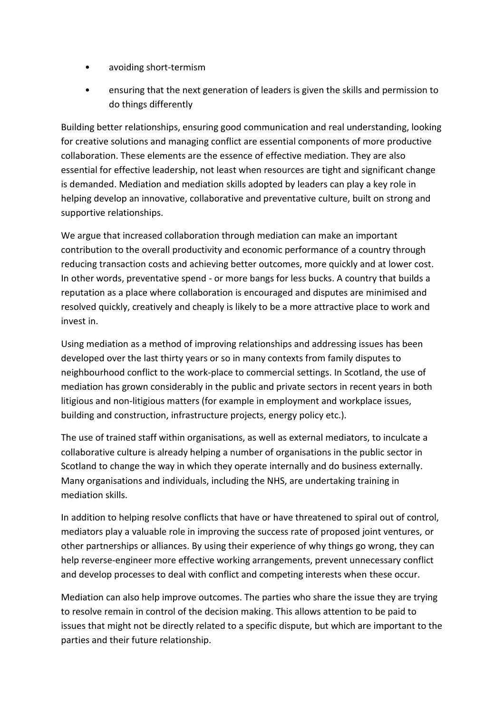- avoiding short-termism
- ensuring that the next generation of leaders is given the skills and permission to do things differently

Building better relationships, ensuring good communication and real understanding, looking for creative solutions and managing conflict are essential components of more productive collaboration. These elements are the essence of effective mediation. They are also essential for effective leadership, not least when resources are tight and significant change is demanded. Mediation and mediation skills adopted by leaders can play a key role in helping develop an innovative, collaborative and preventative culture, built on strong and supportive relationships.

We argue that increased collaboration through mediation can make an important contribution to the overall productivity and economic performance of a country through reducing transaction costs and achieving better outcomes, more quickly and at lower cost. In other words, preventative spend - or more bangs for less bucks. A country that builds a reputation as a place where collaboration is encouraged and disputes are minimised and resolved quickly, creatively and cheaply is likely to be a more attractive place to work and invest in.

Using mediation as a method of improving relationships and addressing issues has been developed over the last thirty years or so in many contexts from family disputes to neighbourhood conflict to the work-place to commercial settings. In Scotland, the use of mediation has grown considerably in the public and private sectors in recent years in both litigious and non-litigious matters (for example in employment and workplace issues, building and construction, infrastructure projects, energy policy etc.).

The use of trained staff within organisations, as well as external mediators, to inculcate a collaborative culture is already helping a number of organisations in the public sector in Scotland to change the way in which they operate internally and do business externally. Many organisations and individuals, including the NHS, are undertaking training in mediation skills.

In addition to helping resolve conflicts that have or have threatened to spiral out of control, mediators play a valuable role in improving the success rate of proposed joint ventures, or other partnerships or alliances. By using their experience of why things go wrong, they can help reverse-engineer more effective working arrangements, prevent unnecessary conflict and develop processes to deal with conflict and competing interests when these occur.

Mediation can also help improve outcomes. The parties who share the issue they are trying to resolve remain in control of the decision making. This allows attention to be paid to issues that might not be directly related to a specific dispute, but which are important to the parties and their future relationship.